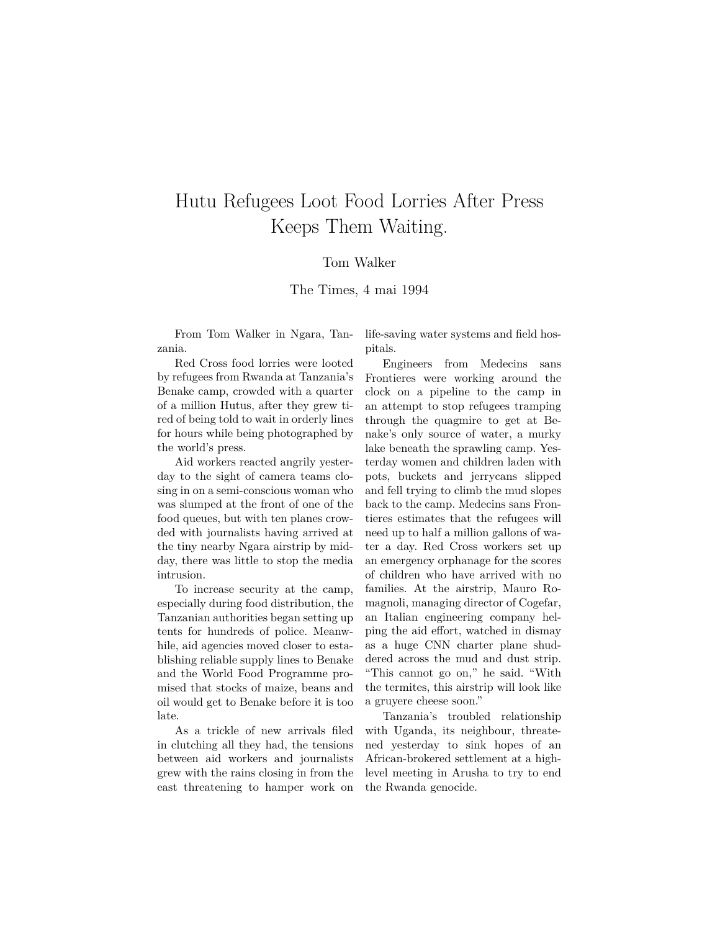## Hutu Refugees Loot Food Lorries After Press Keeps Them Waiting.

## Tom Walker

The Times, 4 mai 1994

From Tom Walker in Ngara, Tanzania.

Red Cross food lorries were looted by refugees from Rwanda at Tanzania's Benake camp, crowded with a quarter of a million Hutus, after they grew tired of being told to wait in orderly lines for hours while being photographed by the world's press.

Aid workers reacted angrily yesterday to the sight of camera teams closing in on a semi-conscious woman who was slumped at the front of one of the food queues, but with ten planes crowded with journalists having arrived at the tiny nearby Ngara airstrip by midday, there was little to stop the media intrusion.

To increase security at the camp, especially during food distribution, the Tanzanian authorities began setting up tents for hundreds of police. Meanwhile, aid agencies moved closer to establishing reliable supply lines to Benake and the World Food Programme promised that stocks of maize, beans and oil would get to Benake before it is too late.

As a trickle of new arrivals filed in clutching all they had, the tensions between aid workers and journalists grew with the rains closing in from the east threatening to hamper work on

life-saving water systems and field hospitals.

Engineers from Medecins sans Frontieres were working around the clock on a pipeline to the camp in an attempt to stop refugees tramping through the quagmire to get at Benake's only source of water, a murky lake beneath the sprawling camp. Yesterday women and children laden with pots, buckets and jerrycans slipped and fell trying to climb the mud slopes back to the camp. Medecins sans Frontieres estimates that the refugees will need up to half a million gallons of water a day. Red Cross workers set up an emergency orphanage for the scores of children who have arrived with no families. At the airstrip, Mauro Romagnoli, managing director of Cogefar, an Italian engineering company helping the aid effort, watched in dismay as a huge CNN charter plane shuddered across the mud and dust strip. "This cannot go on," he said. "With the termites, this airstrip will look like a gruyere cheese soon."

Tanzania's troubled relationship with Uganda, its neighbour, threatened yesterday to sink hopes of an African-brokered settlement at a highlevel meeting in Arusha to try to end the Rwanda genocide.